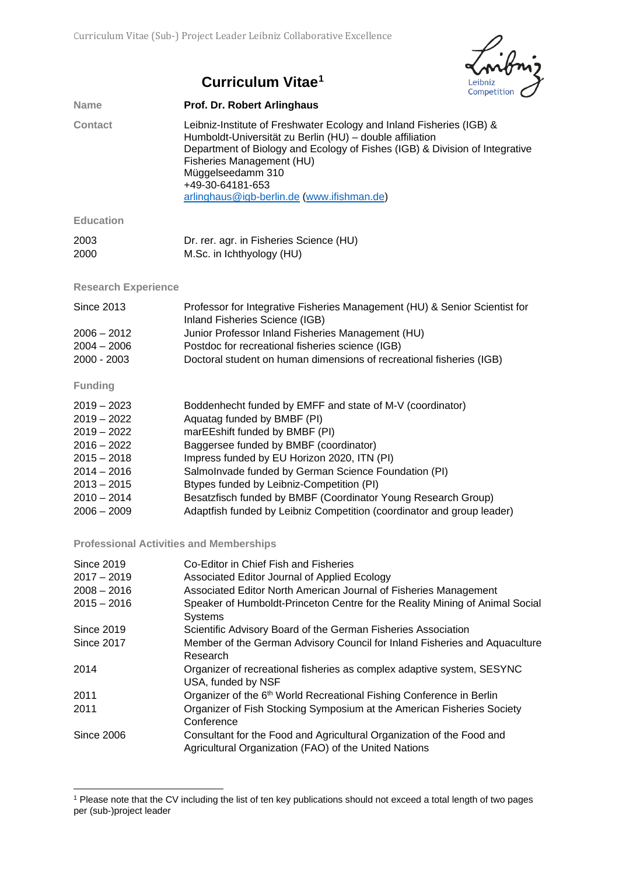

## **Curriculum Vitae[1](#page-0-0)**

| <b>Name</b>      | Prof. Dr. Robert Arlinghaus                                                                                                                                                                                                                                                                                                         |
|------------------|-------------------------------------------------------------------------------------------------------------------------------------------------------------------------------------------------------------------------------------------------------------------------------------------------------------------------------------|
| <b>Contact</b>   | Leibniz-Institute of Freshwater Ecology and Inland Fisheries (IGB) &<br>Humboldt-Universität zu Berlin (HU) – double affiliation<br>Department of Biology and Ecology of Fishes (IGB) & Division of Integrative<br>Fisheries Management (HU)<br>Müggelseedamm 310<br>+49-30-64181-653<br>arlinghaus@igb-berlin.de (www.ifishman.de) |
| <b>Education</b> |                                                                                                                                                                                                                                                                                                                                     |
| 2003             | Dr. rer. agr. in Fisheries Science (HU)                                                                                                                                                                                                                                                                                             |

**Research Experience**

2000 M.Sc. in Ichthyology (HU)

| Since 2013    | Professor for Integrative Fisheries Management (HU) & Senior Scientist for |
|---------------|----------------------------------------------------------------------------|
|               | Inland Fisheries Science (IGB)                                             |
| $2006 - 2012$ | Junior Professor Inland Fisheries Management (HU)                          |
| $2004 - 2006$ | Postdoc for recreational fisheries science (IGB)                           |
| $2000 - 2003$ | Doctoral student on human dimensions of recreational fisheries (IGB)       |
|               |                                                                            |

**Funding**

**.** 

| $2019 - 2023$ | Boddenhecht funded by EMFF and state of M-V (coordinator)              |
|---------------|------------------------------------------------------------------------|
| $2019 - 2022$ | Aquatag funded by BMBF (PI)                                            |
| $2019 - 2022$ | marEEshift funded by BMBF (PI)                                         |
| $2016 - 2022$ | Baggersee funded by BMBF (coordinator)                                 |
| $2015 - 2018$ | Impress funded by EU Horizon 2020, ITN (PI)                            |
| $2014 - 2016$ | SalmoInvade funded by German Science Foundation (PI)                   |
| $2013 - 2015$ | Btypes funded by Leibniz-Competition (PI)                              |
| $2010 - 2014$ | Besatzfisch funded by BMBF (Coordinator Young Research Group)          |
| $2006 - 2009$ | Adaptfish funded by Leibniz Competition (coordinator and group leader) |

## **Professional Activities and Memberships**

| <b>Since 2019</b> | Co-Editor in Chief Fish and Fisheries                                                                                          |
|-------------------|--------------------------------------------------------------------------------------------------------------------------------|
| $2017 - 2019$     | Associated Editor Journal of Applied Ecology                                                                                   |
| $2008 - 2016$     | Associated Editor North American Journal of Fisheries Management                                                               |
| $2015 - 2016$     | Speaker of Humboldt-Princeton Centre for the Reality Mining of Animal Social<br><b>Systems</b>                                 |
| <b>Since 2019</b> | Scientific Advisory Board of the German Fisheries Association                                                                  |
| <b>Since 2017</b> | Member of the German Advisory Council for Inland Fisheries and Aquaculture<br>Research                                         |
| 2014              | Organizer of recreational fisheries as complex adaptive system, SESYNC<br>USA, funded by NSF                                   |
| 2011              | Organizer of the 6th World Recreational Fishing Conference in Berlin                                                           |
| 2011              | Organizer of Fish Stocking Symposium at the American Fisheries Society<br>Conference                                           |
| <b>Since 2006</b> | Consultant for the Food and Agricultural Organization of the Food and<br>Agricultural Organization (FAO) of the United Nations |

<span id="page-0-0"></span><sup>1</sup> Please note that the CV including the list of ten key publications should not exceed a total length of two pages per (sub-)project leader